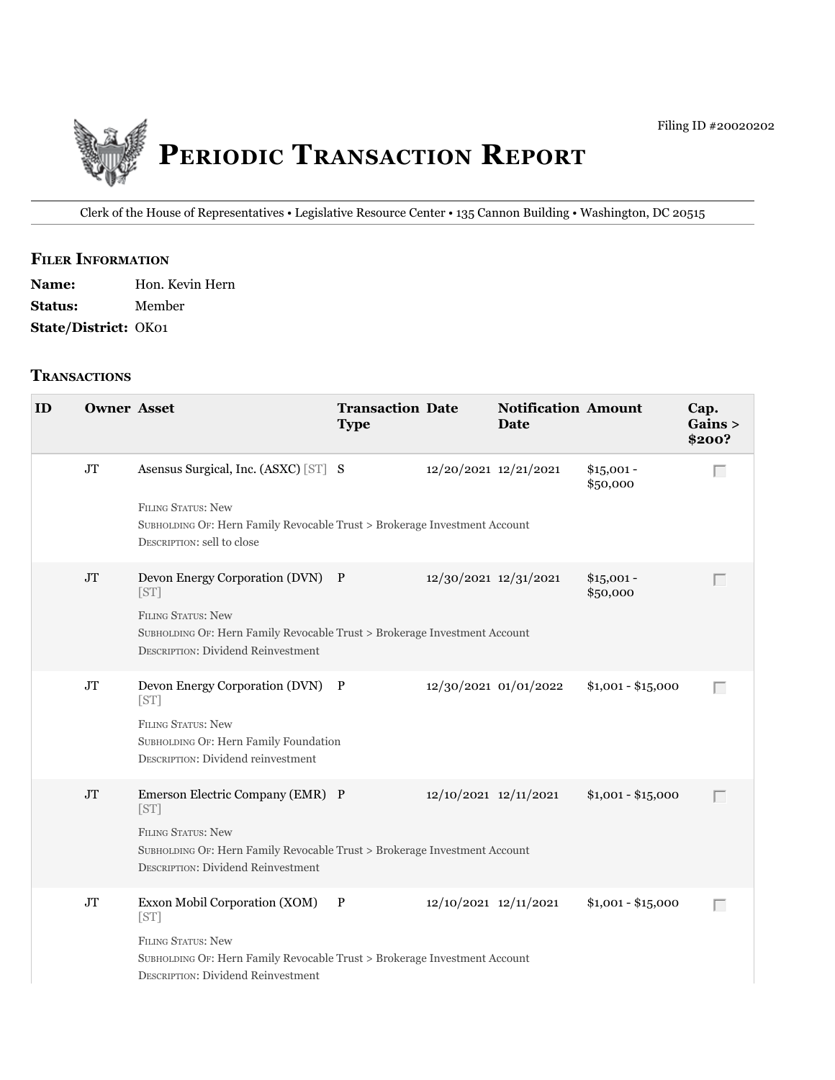

Clerk of the House of Representatives • Legislative Resource Center • 135 Cannon Building • Washington, DC 20515

### **filer information**

Name: Hon. Kevin Hern **Status:** Member **State/District:** OK01

### **tranSactionS**

| ID | <b>Owner Asset</b> |                                                                                                                                                                                                 | <b>Transaction Date</b><br><b>Type</b> |                       | <b>Notification Amount</b><br>Date |                         | Cap.<br>Gains ><br>\$200? |
|----|--------------------|-------------------------------------------------------------------------------------------------------------------------------------------------------------------------------------------------|----------------------------------------|-----------------------|------------------------------------|-------------------------|---------------------------|
|    | $\rm JT$           | Asensus Surgical, Inc. (ASXC) [ST] S<br>FILING STATUS: New<br>SUBHOLDING OF: Hern Family Revocable Trust > Brokerage Investment Account<br>DESCRIPTION: sell to close                           |                                        | 12/20/2021 12/21/2021 |                                    | $$15,001 -$<br>\$50,000 | Г                         |
|    | $\rm JT$           | Devon Energy Corporation (DVN) P<br>[ST]<br><b>FILING STATUS: New</b><br>SUBHOLDING OF: Hern Family Revocable Trust > Brokerage Investment Account<br><b>DESCRIPTION: Dividend Reinvestment</b> |                                        | 12/30/2021 12/31/2021 |                                    | $$15,001 -$<br>\$50,000 |                           |
|    | $\rm JT$           | Devon Energy Corporation (DVN) P<br>[ST]<br><b>FILING STATUS: New</b><br>SUBHOLDING OF: Hern Family Foundation<br><b>DESCRIPTION: Dividend reinvestment</b>                                     |                                        |                       | 12/30/2021 01/01/2022              | $$1,001 - $15,000$      | Г                         |
|    | $\rm JT$           | Emerson Electric Company (EMR) P<br>[ST]<br><b>FILING STATUS: New</b><br>SUBHOLDING OF: Hern Family Revocable Trust > Brokerage Investment Account<br><b>DESCRIPTION: Dividend Reinvestment</b> |                                        | 12/10/2021 12/11/2021 |                                    | $$1,001 - $15,000$      | $\Box$                    |
|    | $\rm JT$           | Exxon Mobil Corporation (XOM) P<br>[ST]<br><b>FILING STATUS: New</b><br>SUBHOLDING OF: Hern Family Revocable Trust > Brokerage Investment Account<br><b>DESCRIPTION: Dividend Reinvestment</b>  |                                        | 12/10/2021 12/11/2021 |                                    | $$1,001 - $15,000$      | Г                         |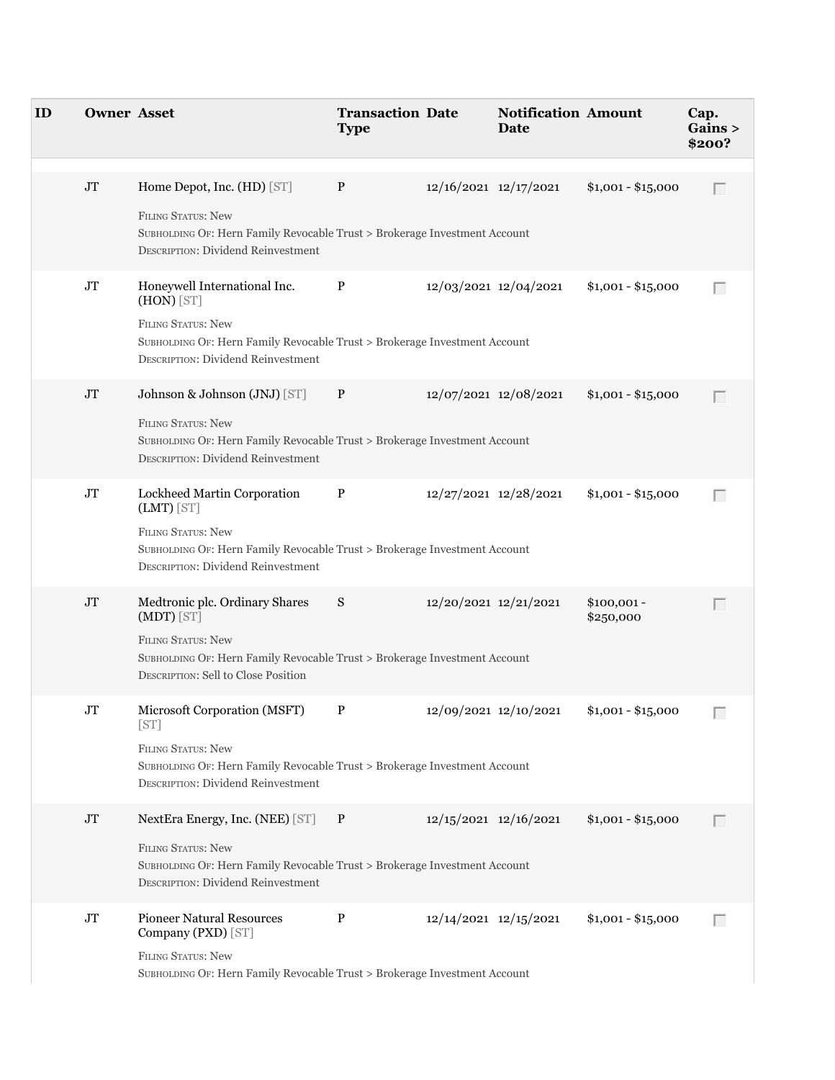| ID | <b>Owner Asset</b> |                                                                                                                                                                                                      | <b>Transaction Date</b><br><b>Type</b> |                       | <b>Notification Amount</b><br>Date |                           | Cap.<br>Gains ><br>\$200? |
|----|--------------------|------------------------------------------------------------------------------------------------------------------------------------------------------------------------------------------------------|----------------------------------------|-----------------------|------------------------------------|---------------------------|---------------------------|
|    | $\rm JT$           | Home Depot, Inc. (HD) [ST]<br><b>FILING STATUS: New</b><br>SUBHOLDING OF: Hern Family Revocable Trust > Brokerage Investment Account<br><b>DESCRIPTION: Dividend Reinvestment</b>                    | $\mathbf{P}$                           |                       | 12/16/2021 12/17/2021              | $$1,001 - $15,000$        | Г                         |
|    | $\rm JT$           | Honeywell International Inc.<br>$(HON)$ [ST]<br><b>FILING STATUS: New</b><br>SUBHOLDING OF: Hern Family Revocable Trust > Brokerage Investment Account<br><b>DESCRIPTION: Dividend Reinvestment</b>  | P                                      |                       | 12/03/2021 12/04/2021              | $$1,001 - $15,000$        | $\Box$                    |
|    | J <sub>T</sub>     | Johnson & Johnson (JNJ) [ST]<br><b>FILING STATUS: New</b><br>SUBHOLDING OF: Hern Family Revocable Trust > Brokerage Investment Account<br><b>DESCRIPTION: Dividend Reinvestment</b>                  | $\mathbf{P}$                           |                       | 12/07/2021 12/08/2021              | $$1,001 - $15,000$        | Г                         |
|    | $\rm JT$           | Lockheed Martin Corporation<br>$(LMT)$ [ST]<br><b>FILING STATUS: New</b><br>SUBHOLDING OF: Hern Family Revocable Trust > Brokerage Investment Account<br><b>DESCRIPTION: Dividend Reinvestment</b>   | P                                      |                       | 12/27/2021 12/28/2021              | $$1,001 - $15,000$        | Г                         |
|    | $\rm JT$           | Medtronic plc. Ordinary Shares<br>(MDT) [ST]<br><b>FILING STATUS: New</b><br>SUBHOLDING OF: Hern Family Revocable Trust > Brokerage Investment Account<br><b>DESCRIPTION: Sell to Close Position</b> | S                                      |                       | 12/20/2021 12/21/2021              | $$100,001 -$<br>\$250,000 | Г                         |
|    | JT                 | Microsoft Corporation (MSFT)<br>[ST]<br><b>FILING STATUS: New</b><br>SUBHOLDING OF: Hern Family Revocable Trust > Brokerage Investment Account<br><b>DESCRIPTION: Dividend Reinvestment</b>          | $\mathbf{P}$                           |                       | 12/09/2021 12/10/2021              | $$1,001 - $15,000$        |                           |
|    | JT                 | NextEra Energy, Inc. (NEE) [ST] P<br><b>FILING STATUS: New</b><br>SUBHOLDING OF: Hern Family Revocable Trust > Brokerage Investment Account<br><b>DESCRIPTION: Dividend Reinvestment</b>             |                                        |                       | $12/15/2021$ $12/16/2021$          | $$1,001 - $15,000$        |                           |
|    | $\rm JT$           | <b>Pioneer Natural Resources</b><br>Company (PXD) [ST]<br><b>FILING STATUS: New</b><br>SUBHOLDING OF: Hern Family Revocable Trust > Brokerage Investment Account                                     | P                                      | 12/14/2021 12/15/2021 |                                    | $$1,001 - $15,000$        | $\Box$                    |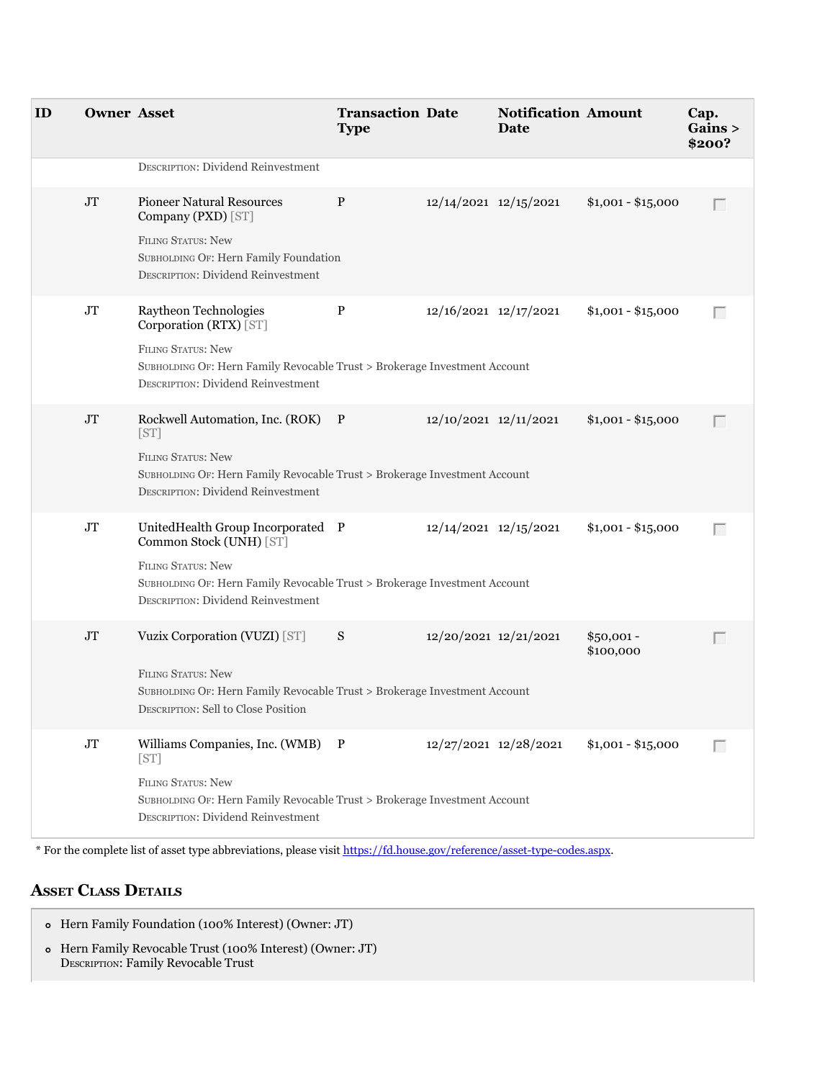| ID | <b>Owner Asset</b> |                                                                                                                                                                                                              | <b>Transaction Date</b><br><b>Type</b> |                       | <b>Notification Amount</b><br>Date |                          | Cap.<br>Gains ><br>\$200? |
|----|--------------------|--------------------------------------------------------------------------------------------------------------------------------------------------------------------------------------------------------------|----------------------------------------|-----------------------|------------------------------------|--------------------------|---------------------------|
|    |                    | <b>DESCRIPTION: Dividend Reinvestment</b>                                                                                                                                                                    |                                        |                       |                                    |                          |                           |
|    | $\rm JT$           | <b>Pioneer Natural Resources</b><br>Company (PXD) [ST]<br><b>FILING STATUS: New</b><br>SUBHOLDING OF: Hern Family Foundation<br><b>DESCRIPTION: Dividend Reinvestment</b>                                    | P                                      | 12/14/2021 12/15/2021 |                                    | $$1,001 - $15,000$       | $\Box$                    |
|    | $\rm JT$           | Raytheon Technologies<br>Corporation (RTX) [ST]<br>FILING STATUS: New<br>SUBHOLDING OF: Hern Family Revocable Trust > Brokerage Investment Account<br><b>DESCRIPTION: Dividend Reinvestment</b>              | $\, {\bf P}$                           | 12/16/2021 12/17/2021 |                                    | $$1,001 - $15,000$       | Г                         |
|    | $\rm JT$           | Rockwell Automation, Inc. (ROK) P<br>[ST]<br><b>FILING STATUS: New</b><br>SUBHOLDING OF: Hern Family Revocable Trust > Brokerage Investment Account<br><b>DESCRIPTION: Dividend Reinvestment</b>             |                                        | 12/10/2021 12/11/2021 |                                    | $$1,001 - $15,000$       | $\Box$                    |
|    | $\rm JT$           | UnitedHealth Group Incorporated P<br>Common Stock (UNH) [ST]<br>FILING STATUS: New<br>SUBHOLDING OF: Hern Family Revocable Trust > Brokerage Investment Account<br><b>DESCRIPTION: Dividend Reinvestment</b> |                                        | 12/14/2021 12/15/2021 |                                    | $$1,001 - $15,000$       | $\Box$                    |
|    | $\rm JT$           | Vuzix Corporation (VUZI) [ST]<br><b>FILING STATUS: New</b><br>SUBHOLDING OF: Hern Family Revocable Trust > Brokerage Investment Account<br>DESCRIPTION: Sell to Close Position                               | S                                      | 12/20/2021 12/21/2021 |                                    | $$50,001 -$<br>\$100,000 | $\Box$                    |
|    | $\rm JT$           | Williams Companies, Inc. (WMB) P<br>[ST]<br>FILING STATUS: New<br>SUBHOLDING OF: Hern Family Revocable Trust > Brokerage Investment Account<br><b>DESCRIPTION: Dividend Reinvestment</b>                     |                                        |                       | 12/27/2021 12/28/2021              | $$1,001 - $15,000$       | $\Box$                    |

\* For the complete list of asset type abbreviations, please visit<https://fd.house.gov/reference/asset-type-codes.aspx>.

# **aSSet claSS DetailS**

Hern Family Foundation (100% Interest) (Owner: JT) Hern Family Revocable Trust (100% Interest) (Owner: JT) DESCRIPTION: Family Revocable Trust